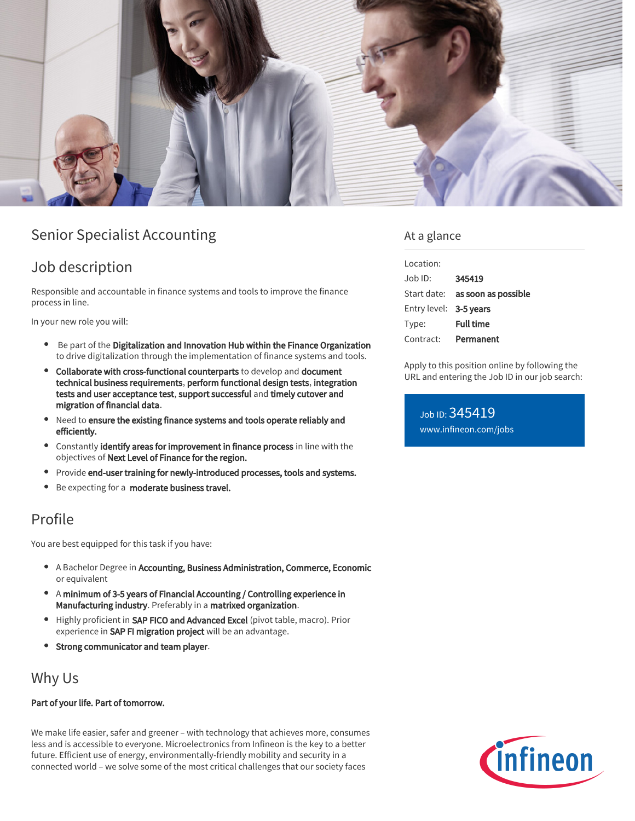

# Senior Specialist Accounting

# Job description

Responsible and accountable in finance systems and tools to improve the finance process in line.

In your new role you will:

- **•** Be part of the Digitalization and Innovation Hub within the Finance Organization to drive digitalization through the implementation of finance systems and tools.
- Collaborate with cross-functional counterparts to develop and document technical business requirements, perform functional design tests, integration tests and user acceptance test, support successful and timely cutover and migration of financial data.
- Need to ensure the existing finance systems and tools operate reliably and efficiently.
- **•** Constantly **identify areas for improvement in finance process** in line with the objectives of Next Level of Finance for the region.
- Provide end-user training for newly-introduced processes, tools and systems.
- Be expecting for a **moderate business travel.**

# Profile

You are best equipped for this task if you have:

- A Bachelor Degree in Accounting, Business Administration, Commerce, Economic or equivalent
- A minimum of 3-5 years of Financial Accounting / Controlling experience in Manufacturing industry. Preferably in a matrixed organization.
- Highly proficient in SAP FICO and Advanced Excel (pivot table, macro). Prior experience in SAP FI migration project will be an advantage.
- Strong communicator and team player.

## Why Us

#### Part of your life. Part of tomorrow.

We make life easier, safer and greener – with technology that achieves more, consumes less and is accessible to everyone. Microelectronics from Infineon is the key to a better future. Efficient use of energy, environmentally-friendly mobility and security in a connected world – we solve some of the most critical challenges that our society faces

### At a glance

| Location:              |                                        |
|------------------------|----------------------------------------|
| Job ID:                | 345419                                 |
|                        | Start date: <b>as soon as possible</b> |
| Entry level: 3-5 years |                                        |
| Type:                  | <b>Full time</b>                       |
| Contract:              | Permanent                              |

Apply to this position online by following the URL and entering the Job ID in our job search:

Job ID: 345419 [www.infineon.com/jobs](https://www.infineon.com/jobs)